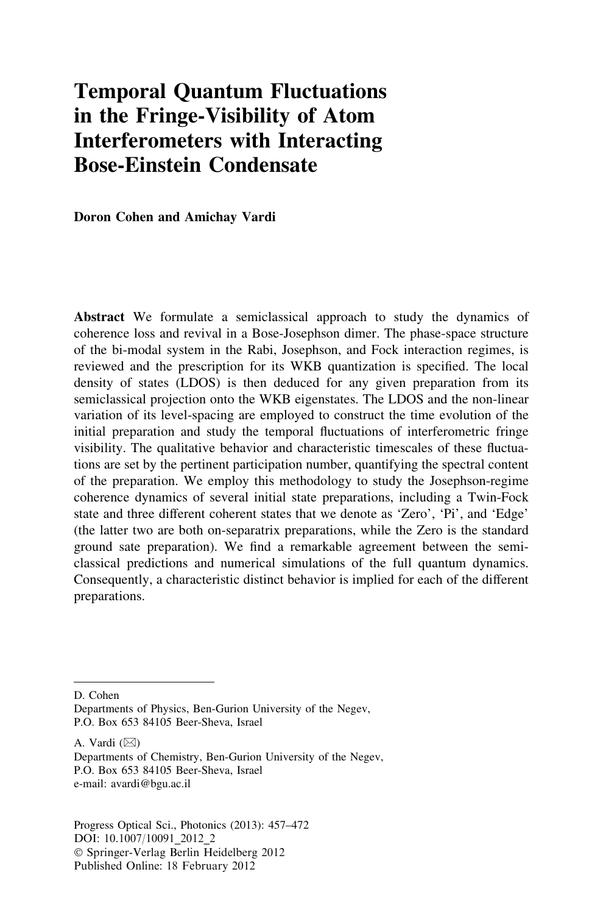# Temporal Quantum Fluctuations in the Fringe-Visibility of Atom Interferometers with Interacting Bose-Einstein Condensate

Doron Cohen and Amichay Vardi

Abstract We formulate a semiclassical approach to study the dynamics of coherence loss and revival in a Bose-Josephson dimer. The phase-space structure of the bi-modal system in the Rabi, Josephson, and Fock interaction regimes, is reviewed and the prescription for its WKB quantization is specified. The local density of states (LDOS) is then deduced for any given preparation from its semiclassical projection onto the WKB eigenstates. The LDOS and the non-linear variation of its level-spacing are employed to construct the time evolution of the initial preparation and study the temporal fluctuations of interferometric fringe visibility. The qualitative behavior and characteristic timescales of these fluctuations are set by the pertinent participation number, quantifying the spectral content of the preparation. We employ this methodology to study the Josephson-regime coherence dynamics of several initial state preparations, including a Twin-Fock state and three different coherent states that we denote as 'Zero', 'Pi', and 'Edge' (the latter two are both on-separatrix preparations, while the Zero is the standard ground sate preparation). We find a remarkable agreement between the semiclassical predictions and numerical simulations of the full quantum dynamics. Consequently, a characteristic distinct behavior is implied for each of the different preparations.

D. Cohen

A. Vardi  $(\boxtimes)$ 

Progress Optical Sci., Photonics (2013): 457–472 DOI: 10.1007/10091\_2012\_2 - Springer-Verlag Berlin Heidelberg 2012 Published Online: 18 February 2012

Departments of Physics, Ben-Gurion University of the Negev, P.O. Box 653 84105 Beer-Sheva, Israel

Departments of Chemistry, Ben-Gurion University of the Negev, P.O. Box 653 84105 Beer-Sheva, Israel e-mail: avardi@bgu.ac.il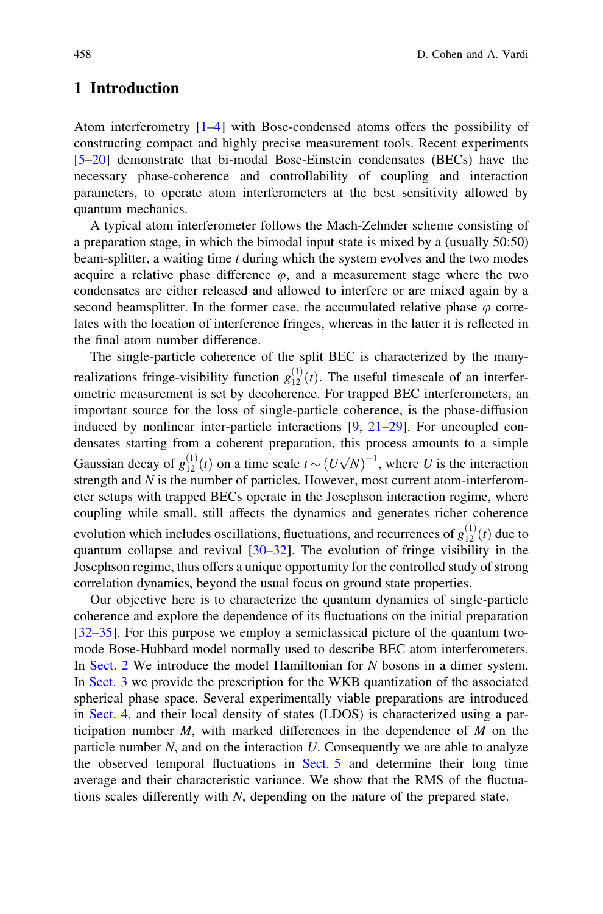# 1 Introduction

Atom interferometry [\[1–4](#page-14-0)] with Bose-condensed atoms offers the possibility of constructing compact and highly precise measurement tools. Recent experiments [\[5](#page-14-0)[–20](#page-15-0)] demonstrate that bi-modal Bose-Einstein condensates (BECs) have the necessary phase-coherence and controllability of coupling and interaction parameters, to operate atom interferometers at the best sensitivity allowed by quantum mechanics.

A typical atom interferometer follows the Mach-Zehnder scheme consisting of a preparation stage, in which the bimodal input state is mixed by a (usually 50:50) beam-splitter, a waiting time  $t$  during which the system evolves and the two modes acquire a relative phase difference  $\varphi$ , and a measurement stage where the two condensates are either released and allowed to interfere or are mixed again by a second beamsplitter. In the former case, the accumulated relative phase  $\varphi$  correlates with the location of interference fringes, whereas in the latter it is reflected in the final atom number difference.

The single-particle coherence of the split BEC is characterized by the manyrealizations fringe-visibility function  $g_{12}^{(1)}(t)$ . The useful timescale of an interferometric measurement is set by decoherence. For trapped BEC interferometers, an important source for the loss of single-particle coherence, is the phase-diffusion induced by nonlinear inter-particle interactions  $[9, 21-29]$  $[9, 21-29]$  $[9, 21-29]$ . For uncoupled condensates starting from a coherent preparation, this process amounts to a simple Gaussian decay of  $g_{12}^{(1)}(t)$  on a time scale  $t \sim (U\sqrt{N})^{-1}$ , where U is the interaction strength and N is the number of particles. However, most current atom-interferometer setups with trapped BECs operate in the Josephson interaction regime, where coupling while small, still affects the dynamics and generates richer coherence evolution which includes oscillations, fluctuations, and recurrences of  $g_{12}^{(1)}(t)$  due to quantum collapse and revival  $[30-32]$ . The evolution of fringe visibility in the Josephson regime, thus offers a unique opportunity for the controlled study of strong correlation dynamics, beyond the usual focus on ground state properties.

Our objective here is to characterize the quantum dynamics of single-particle coherence and explore the dependence of its fluctuations on the initial preparation [\[32–35](#page-15-0)]. For this purpose we employ a semiclassical picture of the quantum twomode Bose-Hubbard model normally used to describe BEC atom interferometers. In [Sect. 2](#page-2-0) We introduce the model Hamiltonian for N bosons in a dimer system. In [Sect. 3](#page-4-0) we provide the prescription for the WKB quantization of the associated spherical phase space. Several experimentally viable preparations are introduced in [Sect. 4](#page-5-0), and their local density of states (LDOS) is characterized using a participation number  $M$ , with marked differences in the dependence of  $M$  on the particle number  $N$ , and on the interaction  $U$ . Consequently we are able to analyze the observed temporal fluctuations in [Sect. 5](#page-5-0) and determine their long time average and their characteristic variance. We show that the RMS of the fluctuations scales differently with N, depending on the nature of the prepared state.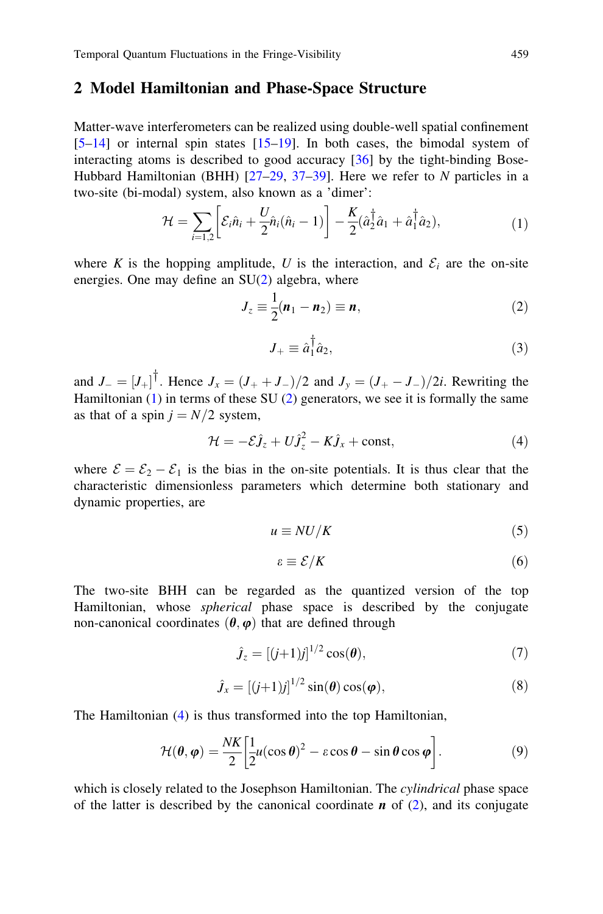#### <span id="page-2-0"></span>2 Model Hamiltonian and Phase-Space Structure

Matter-wave interferometers can be realized using double-well spatial confinement  $[5-14]$  $[5-14]$  or internal spin states  $[15-19]$ . In both cases, the bimodal system of interacting atoms is described to good accuracy [\[36](#page-15-0)] by the tight-binding Bose-Hubbard Hamiltonian (BHH)  $[27-29, 37-39]$ . Here we refer to N particles in a two-site (bi-modal) system, also known as a 'dimer':

$$
\mathcal{H} = \sum_{i=1,2} \left[ \mathcal{E}_i \hat{n}_i + \frac{U}{2} \hat{n}_i (\hat{n}_i - 1) \right] - \frac{K}{2} (\hat{a}_2^\dagger \hat{a}_1 + \hat{a}_1^\dagger \hat{a}_2), \tag{1}
$$

where K is the hopping amplitude, U is the interaction, and  $\mathcal{E}_i$  are the on-site energies. One may define an  $SU(2)$  algebra, where

$$
J_z \equiv \frac{1}{2}(\boldsymbol{n}_1 - \boldsymbol{n}_2) \equiv \boldsymbol{n},\tag{2}
$$

$$
J_{+} \equiv \hat{a}_{1}^{\dagger} \hat{a}_{2}, \tag{3}
$$

and  $J_- = [J_+]^\dagger$ . Hence  $J_x = (J_+ + J_-)/2$  and  $J_y = (J_+ - J_-)/2i$ . Rewriting the Hamiltonian  $(1)$  in terms of these SU  $(2)$  generators, we see it is formally the same as that of a spin  $j = N/2$  system,

$$
\mathcal{H} = -\mathcal{E}\hat{\mathbf{J}}_z + U\hat{\mathbf{J}}_z^2 - K\hat{\mathbf{J}}_x + \text{const},\tag{4}
$$

where  $\mathcal{E} = \mathcal{E}_2 - \mathcal{E}_1$  is the bias in the on-site potentials. It is thus clear that the characteristic dimensionless parameters which determine both stationary and dynamic properties, are

$$
u \equiv NU/K \tag{5}
$$

$$
\varepsilon \equiv \mathcal{E}/K \tag{6}
$$

The two-site BHH can be regarded as the quantized version of the top Hamiltonian, whose spherical phase space is described by the conjugate non-canonical coordinates  $(\theta, \varphi)$  that are defined through

$$
\hat{J}_z = \left[ (j+1)j \right]^{1/2} \cos(\theta),\tag{7}
$$

$$
\hat{J}_x = \left[ (j+1)j \right]^{1/2} \sin(\theta) \cos(\varphi), \tag{8}
$$

The Hamiltonian (4) is thus transformed into the top Hamiltonian,

$$
\mathcal{H}(\theta,\varphi) = \frac{NK}{2} \left[ \frac{1}{2} u(\cos\theta)^2 - \varepsilon \cos\theta - \sin\theta \cos\varphi \right].
$$
 (9)

which is closely related to the Josephson Hamiltonian. The *cylindrical* phase space of the latter is described by the canonical coordinate  $\bf{n}$  of (2), and its conjugate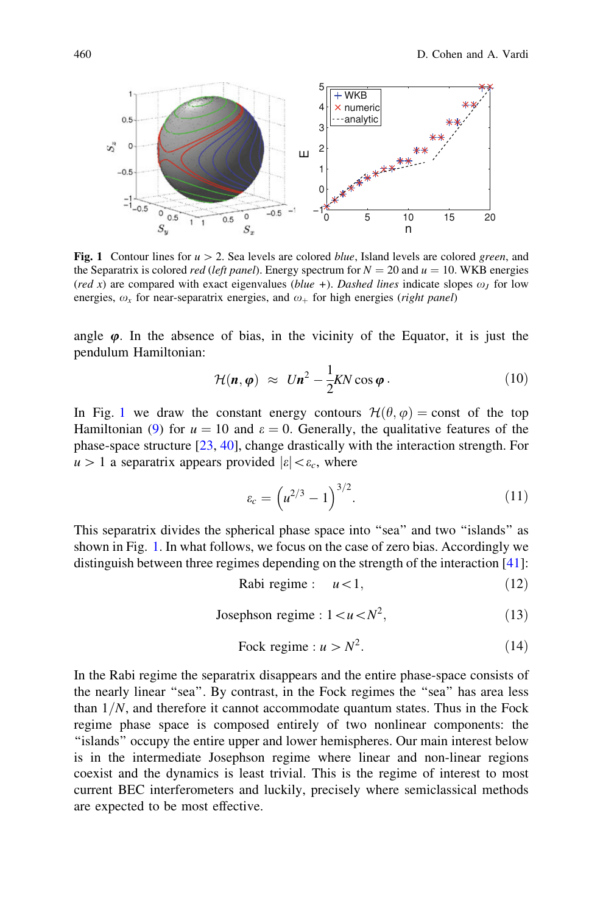

Fig. 1 Contour lines for  $u > 2$ . Sea levels are colored blue, Island levels are colored green, and the Separatrix is colored *red* (left panel). Energy spectrum for  $N = 20$  and  $u = 10$ . WKB energies (red x) are compared with exact eigenvalues (blue +). Dashed lines indicate slopes  $\omega_J$  for low energies,  $\omega_r$  for near-separatrix energies, and  $\omega_+$  for high energies (right panel)

angle  $\varphi$ . In the absence of bias, in the vicinity of the Equator, it is just the pendulum Hamiltonian:

$$
\mathcal{H}(\boldsymbol{n},\boldsymbol{\varphi}) \approx U\boldsymbol{n}^2 - \frac{1}{2}KN\cos\boldsymbol{\varphi} \,.
$$
 (10)

In Fig. 1 we draw the constant energy contours  $\mathcal{H}(\theta, \varphi) = \text{const}$  of the top Hamiltonian [\(9](#page-2-0)) for  $u = 10$  and  $\varepsilon = 0$ . Generally, the qualitative features of the phase-space structure [[23,](#page-15-0) [40\]](#page-15-0), change drastically with the interaction strength. For  $u > 1$  a separatrix appears provided  $|\varepsilon| < \varepsilon_c$ , where

$$
\varepsilon_c = \left( u^{2/3} - 1 \right)^{3/2} . \tag{11}
$$

This separatrix divides the spherical phase space into ''sea'' and two ''islands'' as shown in Fig. 1. In what follows, we focus on the case of zero bias. Accordingly we distinguish between three regimes depending on the strength of the interaction [\[41](#page-15-0)]:

$$
Rabi regime: \t u<1,
$$
\t(12)

Josephson regime : 
$$
1 < u < N^2
$$
, (13)

Fock regime : 
$$
u > N^2
$$
. (14)

In the Rabi regime the separatrix disappears and the entire phase-space consists of the nearly linear "sea". By contrast, in the Fock regimes the "sea" has area less than  $1/N$ , and therefore it cannot accommodate quantum states. Thus in the Fock regime phase space is composed entirely of two nonlinear components: the ''islands'' occupy the entire upper and lower hemispheres. Our main interest below is in the intermediate Josephson regime where linear and non-linear regions coexist and the dynamics is least trivial. This is the regime of interest to most current BEC interferometers and luckily, precisely where semiclassical methods are expected to be most effective.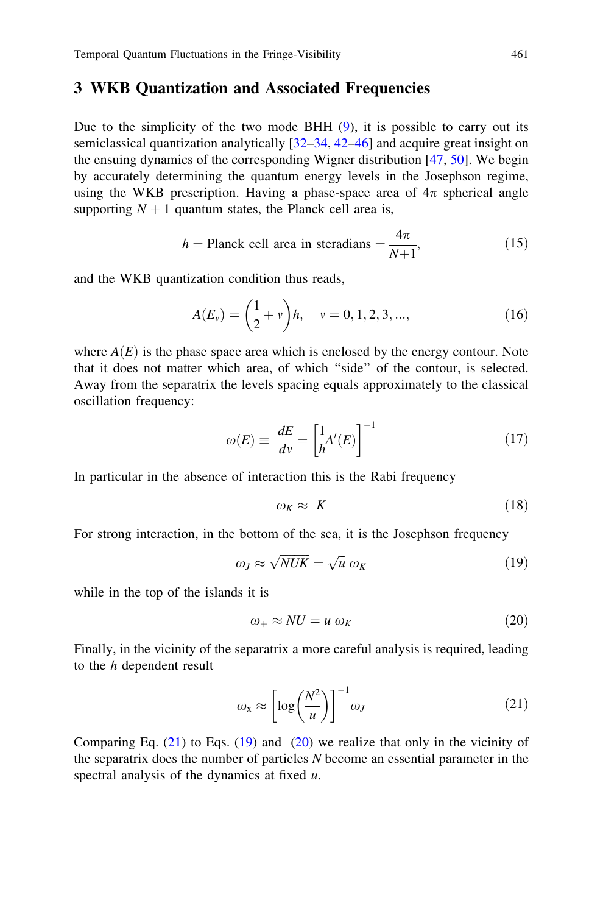### <span id="page-4-0"></span>3 WKB Quantization and Associated Frequencies

Due to the simplicity of the two mode BHH  $(9)$  $(9)$ , it is possible to carry out its semiclassical quantization analytically [[32–34,](#page-15-0) [42–46\]](#page-15-0) and acquire great insight on the ensuing dynamics of the corresponding Wigner distribution [\[47](#page-15-0), [50](#page-15-0)]. We begin by accurately determining the quantum energy levels in the Josephson regime, using the WKB prescription. Having a phase-space area of  $4\pi$  spherical angle supporting  $N + 1$  quantum states, the Planck cell area is,

$$
h = \text{Planck cell area in steradians} = \frac{4\pi}{N+1},\tag{15}
$$

and the WKB quantization condition thus reads,

$$
A(E_v) = \left(\frac{1}{2} + v\right)h, \quad v = 0, 1, 2, 3, ..., \tag{16}
$$

where  $A(E)$  is the phase space area which is enclosed by the energy contour. Note that it does not matter which area, of which ''side'' of the contour, is selected. Away from the separatrix the levels spacing equals approximately to the classical oscillation frequency:

$$
\omega(E) \equiv \frac{dE}{dv} = \left[\frac{1}{h}A'(E)\right]^{-1} \tag{17}
$$

In particular in the absence of interaction this is the Rabi frequency

$$
\omega_K \approx K \tag{18}
$$

For strong interaction, in the bottom of the sea, it is the Josephson frequency

$$
\omega_J \approx \sqrt{NUK} = \sqrt{u} \omega_K \tag{19}
$$

while in the top of the islands it is

$$
\omega_+ \approx NU = u \omega_K \tag{20}
$$

Finally, in the vicinity of the separatrix a more careful analysis is required, leading to the h dependent result

$$
\omega_{\mathbf{x}} \approx \left[ \log \left( \frac{N^2}{u} \right) \right]^{-1} \omega_J \tag{21}
$$

Comparing Eq.  $(21)$  to Eqs.  $(19)$  and  $(20)$  we realize that only in the vicinity of the separatrix does the number of particles N become an essential parameter in the spectral analysis of the dynamics at fixed  $u$ .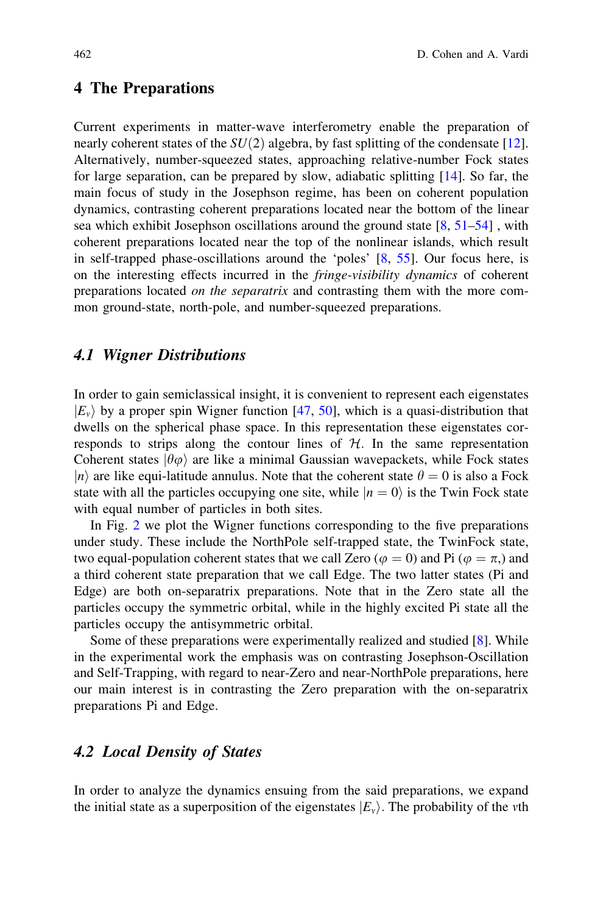#### <span id="page-5-0"></span>4 The Preparations

Current experiments in matter-wave interferometry enable the preparation of nearly coherent states of the  $SU(2)$  algebra, by fast splitting of the condensate [[12\]](#page-14-0). Alternatively, number-squeezed states, approaching relative-number Fock states for large separation, can be prepared by slow, adiabatic splitting [[14\]](#page-15-0). So far, the main focus of study in the Josephson regime, has been on coherent population dynamics, contrasting coherent preparations located near the bottom of the linear sea which exhibit Josephson oscillations around the ground state  $[8, 51-54]$  $[8, 51-54]$  $[8, 51-54]$ , with coherent preparations located near the top of the nonlinear islands, which result in self-trapped phase-oscillations around the 'poles' [[8,](#page-14-0) [55](#page-15-0)]. Our focus here, is on the interesting effects incurred in the fringe-visibility dynamics of coherent preparations located on the separatrix and contrasting them with the more common ground-state, north-pole, and number-squeezed preparations.

### 4.1 Wigner Distributions

In order to gain semiclassical insight, it is convenient to represent each eigenstates  $|E_v\rangle$  by a proper spin Wigner function [[47,](#page-15-0) [50](#page-15-0)], which is a quasi-distribution that dwells on the spherical phase space. In this representation these eigenstates corresponds to strips along the contour lines of  $H$ . In the same representation Coherent states  $\ket{\theta\varphi}$  are like a minimal Gaussian wavepackets, while Fock states  $\ket{n}$  are like equi-latitude annulus. Note that the coherent state  $\theta = 0$  is also a Fock state with all the particles occupying one site, while  $|n = 0\rangle$  is the Twin Fock state with equal number of particles in both sites.

In Fig. [2](#page-6-0) we plot the Wigner functions corresponding to the five preparations under study. These include the NorthPole self-trapped state, the TwinFock state, two equal-population coherent states that we call Zero ( $\varphi = 0$ ) and Pi ( $\varphi = \pi$ ) and a third coherent state preparation that we call Edge. The two latter states (Pi and Edge) are both on-separatrix preparations. Note that in the Zero state all the particles occupy the symmetric orbital, while in the highly excited Pi state all the particles occupy the antisymmetric orbital.

Some of these preparations were experimentally realized and studied [[8\]](#page-14-0). While in the experimental work the emphasis was on contrasting Josephson-Oscillation and Self-Trapping, with regard to near-Zero and near-NorthPole preparations, here our main interest is in contrasting the Zero preparation with the on-separatrix preparations Pi and Edge.

# 4.2 Local Density of States

In order to analyze the dynamics ensuing from the said preparations, we expand the initial state as a superposition of the eigenstates  $|E_v\rangle$ . The probability of the vth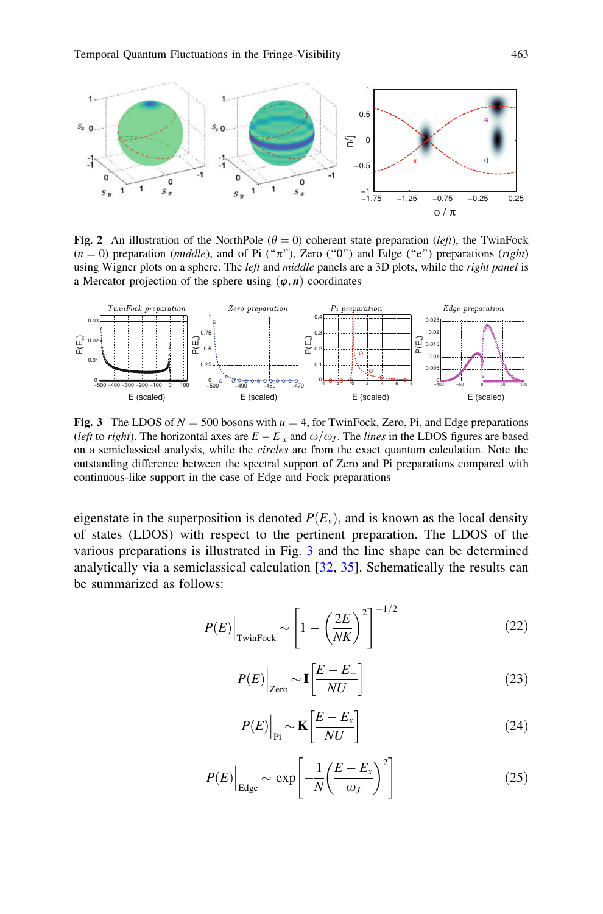<span id="page-6-0"></span>

Fig. 2 An illustration of the NorthPole ( $\theta = 0$ ) coherent state preparation (left), the TwinFock  $(n = 0)$  preparation (*middle*), and of Pi (" $\pi$ "), Zero ("0") and Edge ("e") preparations (*right*) using Wigner plots on a sphere. The *left* and *middle* panels are a 3D plots, while the *right panel* is a Mercator projection of the sphere using  $(\varphi, n)$  coordinates



Fig. 3 The LDOS of  $N = 500$  bosons with  $u = 4$ , for TwinFock, Zero, Pi, and Edge preparations (left to right). The horizontal axes are  $E - E_x$  and  $\omega/\omega_J$ . The lines in the LDOS figures are based on a semiclassical analysis, while the circles are from the exact quantum calculation. Note the outstanding difference between the spectral support of Zero and Pi preparations compared with continuous-like support in the case of Edge and Fock preparations

eigenstate in the superposition is denoted  $P(E_v)$ , and is known as the local density of states (LDOS) with respect to the pertinent preparation. The LDOS of the various preparations is illustrated in Fig. 3 and the line shape can be determined analytically via a semiclassical calculation [[32,](#page-15-0) [35](#page-15-0)]. Schematically the results can be summarized as follows:

$$
P(E)\Big|_{\text{TwinFock}} \sim \left[1 - \left(\frac{2E}{NK}\right)^2\right]^{-1/2} \tag{22}
$$

$$
P(E)\Big|_{\text{Zero}} \sim \mathbf{I} \left[ \frac{E - E_{-}}{NU} \right] \tag{23}
$$

$$
P(E)\Big|_{\text{Pi}} \sim \mathbf{K} \left[ \frac{E - E_x}{NU} \right] \tag{24}
$$

$$
P(E)\Big|_{\text{Edge}} \sim \exp\left[-\frac{1}{N}\left(\frac{E - E_x}{\omega_J}\right)^2\right] \tag{25}
$$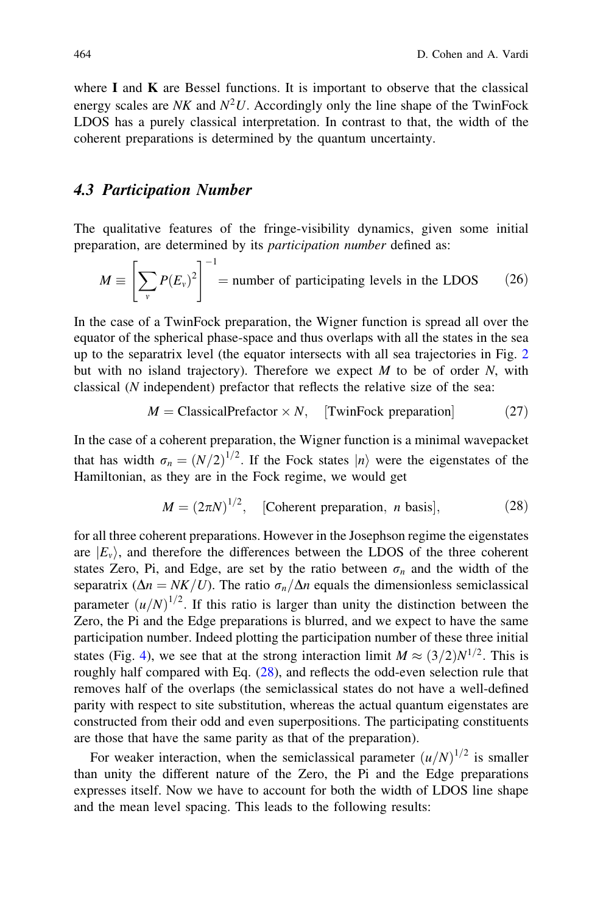where  $I$  and  $K$  are Bessel functions. It is important to observe that the classical energy scales are NK and  $N^2U$ . Accordingly only the line shape of the TwinFock LDOS has a purely classical interpretation. In contrast to that, the width of the coherent preparations is determined by the quantum uncertainty.

#### 4.3 Participation Number

The qualitative features of the fringe-visibility dynamics, given some initial preparation, are determined by its participation number defined as:

$$
M \equiv \left[ \sum_{v} P(E_{v})^{2} \right]^{-1} = \text{number of participating levels in the LDOS} \tag{26}
$$

In the case of a TwinFock preparation, the Wigner function is spread all over the equator of the spherical phase-space and thus overlaps with all the states in the sea up to the separatrix level (the equator intersects with all sea trajectories in Fig. [2](#page-6-0) but with no island trajectory). Therefore we expect  $M$  to be of order  $N$ , with classical (N independent) prefactor that reflects the relative size of the sea:

$$
M = \text{ClassicalPrefix} \times N, \quad \text{[TwinFock preparation]} \tag{27}
$$

In the case of a coherent preparation, the Wigner function is a minimal wavepacket that has width  $\sigma_n = (N/2)^{1/2}$ . If the Fock states  $|n\rangle$  were the eigenstates of the Hamiltonian, as they are in the Fock regime, we would get

$$
M = (2\pi N)^{1/2},
$$
 [Coherent preparation, *n* basis], (28)

for all three coherent preparations. However in the Josephson regime the eigenstates are  $|E_v\rangle$ , and therefore the differences between the LDOS of the three coherent states Zero, Pi, and Edge, are set by the ratio between  $\sigma_n$  and the width of the separatrix ( $\Delta n = NK/U$ ). The ratio  $\sigma_n/\Delta n$  equals the dimensionless semiclassical parameter  $(u/N)^{1/2}$ . If this ratio is larger than unity the distinction between the Zero, the Pi and the Edge preparations is blurred, and we expect to have the same participation number. Indeed plotting the participation number of these three initial states (Fig. [4\)](#page-8-0), we see that at the strong interaction limit  $M \approx (3/2)N^{1/2}$ . This is roughly half compared with Eq. (28), and reflects the odd-even selection rule that removes half of the overlaps (the semiclassical states do not have a well-defined parity with respect to site substitution, whereas the actual quantum eigenstates are constructed from their odd and even superpositions. The participating constituents are those that have the same parity as that of the preparation).

For weaker interaction, when the semiclassical parameter  $(u/N)^{1/2}$  is smaller than unity the different nature of the Zero, the Pi and the Edge preparations expresses itself. Now we have to account for both the width of LDOS line shape and the mean level spacing. This leads to the following results: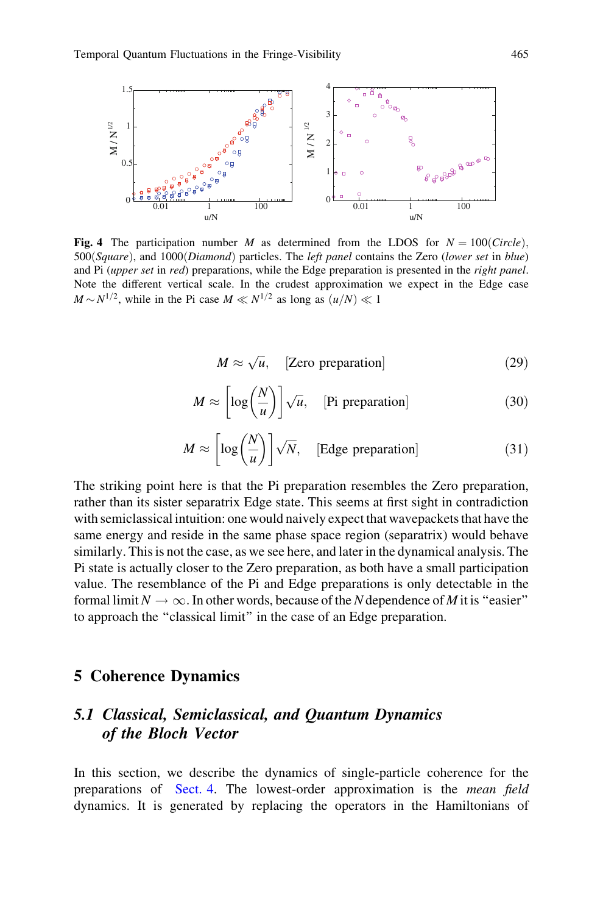<span id="page-8-0"></span>

Fig. 4 The participation number M as determined from the LDOS for  $N = 100$ (Circle),  $500(Square)$ , and  $1000(Diamond)$  particles. The *left panel* contains the Zero (lower set in blue) and Pi (upper set in red) preparations, while the Edge preparation is presented in the right panel. Note the different vertical scale. In the crudest approximation we expect in the Edge case  $M \sim N^{1/2}$ , while in the Pi case  $M \ll N^{1/2}$  as long as  $(u/N) \ll 1$ 

$$
M \approx \sqrt{u}, \quad \text{[Zero preparation]} \tag{29}
$$

$$
M \approx \left[ \log \left( \frac{N}{u} \right) \right] \sqrt{u}, \quad \text{[Pi preparation]} \tag{30}
$$

$$
M \approx \left[ \log \left( \frac{N}{u} \right) \right] \sqrt{N}, \quad \text{[Edge preparation]} \tag{31}
$$

The striking point here is that the Pi preparation resembles the Zero preparation, rather than its sister separatrix Edge state. This seems at first sight in contradiction with semiclassical intuition: one would naively expect that wavepackets that have the same energy and reside in the same phase space region (separatrix) would behave similarly. This is not the case, as we see here, and later in the dynamical analysis. The Pi state is actually closer to the Zero preparation, as both have a small participation value. The resemblance of the Pi and Edge preparations is only detectable in the formal limit  $N \to \infty$ . In other words, because of the N dependence of M it is "easier" to approach the ''classical limit'' in the case of an Edge preparation.

# 5 Coherence Dynamics

# 5.1 Classical, Semiclassical, and Quantum Dynamics of the Bloch Vector

In this section, we describe the dynamics of single-particle coherence for the preparations of [Sect. 4.](#page-5-0) The lowest-order approximation is the mean field dynamics. It is generated by replacing the operators in the Hamiltonians of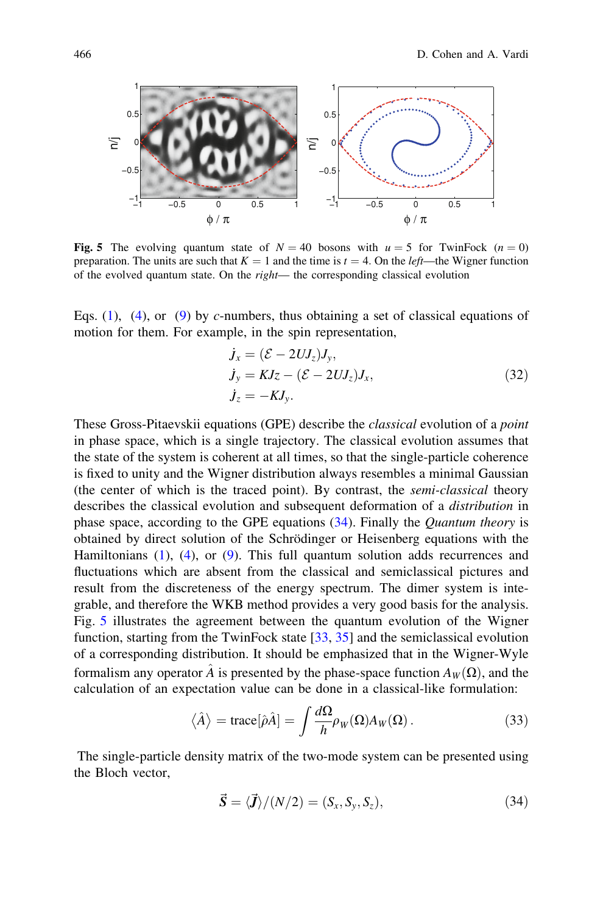<span id="page-9-0"></span>

Fig. 5 The evolving quantum state of  $N = 40$  bosons with  $u = 5$  for TwinFock  $(n = 0)$ preparation. The units are such that  $K = 1$  and the time is  $t = 4$ . On the *left*—the Wigner function of the evolved quantum state. On the right— the corresponding classical evolution

Eqs. ([1\)](#page-2-0), ([4\)](#page-2-0), or ([9\)](#page-2-0) by c-numbers, thus obtaining a set of classical equations of motion for them. For example, in the spin representation,

$$
\begin{aligned}\n\dot{J}_x &= (\mathcal{E} - 2UJ_z)J_y, \\
\dot{J}_y &= KJz - (\mathcal{E} - 2UJ_z)J_x, \\
\dot{J}_z &= -KJ_y.\n\end{aligned} \tag{32}
$$

These Gross-Pitaevskii equations (GPE) describe the classical evolution of a point in phase space, which is a single trajectory. The classical evolution assumes that the state of the system is coherent at all times, so that the single-particle coherence is fixed to unity and the Wigner distribution always resembles a minimal Gaussian (the center of which is the traced point). By contrast, the semi-classical theory describes the classical evolution and subsequent deformation of a distribution in phase space, according to the GPE equations (34). Finally the Quantum theory is obtained by direct solution of the Schrödinger or Heisenberg equations with the Hamiltonians ([1\)](#page-2-0), [\(4](#page-2-0)), or ([9\)](#page-2-0). This full quantum solution adds recurrences and fluctuations which are absent from the classical and semiclassical pictures and result from the discreteness of the energy spectrum. The dimer system is integrable, and therefore the WKB method provides a very good basis for the analysis. Fig. 5 illustrates the agreement between the quantum evolution of the Wigner function, starting from the TwinFock state [[33,](#page-15-0) [35\]](#page-15-0) and the semiclassical evolution of a corresponding distribution. It should be emphasized that in the Wigner-Wyle formalism any operator  $\hat{A}$  is presented by the phase-space function  $A_W(\Omega)$ , and the calculation of an expectation value can be done in a classical-like formulation:

$$
\langle \hat{A} \rangle = \text{trace}[\hat{\rho}\hat{A}] = \int \frac{d\Omega}{h} \rho_W(\Omega) A_W(\Omega).
$$
 (33)

The single-particle density matrix of the two-mode system can be presented using the Bloch vector,

$$
\vec{S} = \langle \vec{J} \rangle / (N/2) = (S_x, S_y, S_z), \tag{34}
$$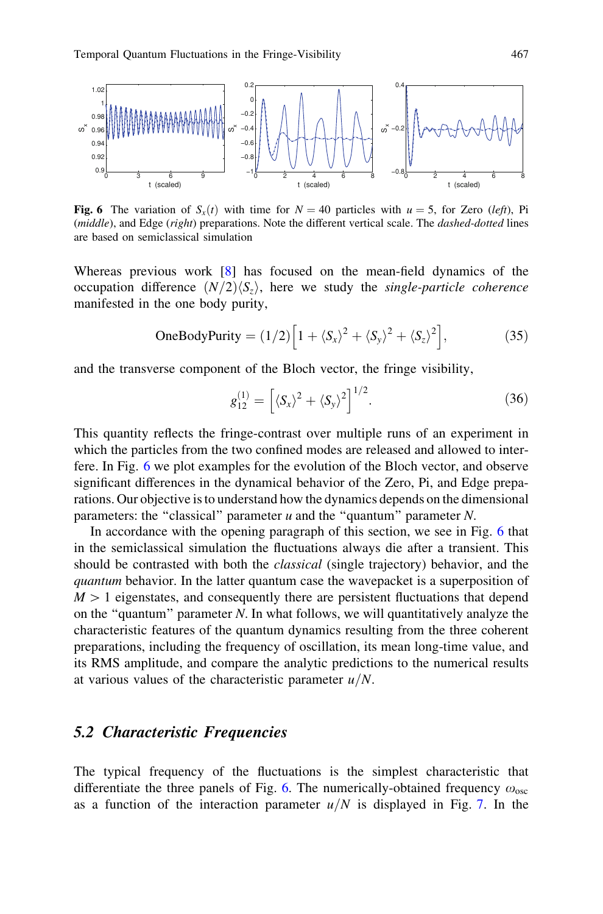

**Fig. 6** The variation of  $S_r(t)$  with time for  $N = 40$  particles with  $u = 5$ , for Zero (left), Pi (*middle*), and Edge (*right*) preparations. Note the different vertical scale. The *dashed-dotted* lines are based on semiclassical simulation

Whereas previous work [[8\]](#page-14-0) has focused on the mean-field dynamics of the occupation difference  $(N/2)\langle S_z\rangle$ , here we study the *single-particle coherence* manifested in the one body purity,

OneBodyPurity = 
$$
(1/2)\left[1 + \langle S_x \rangle^2 + \langle S_y \rangle^2 + \langle S_z \rangle^2\right]
$$
, (35)

and the transverse component of the Bloch vector, the fringe visibility,

$$
g_{12}^{(1)} = \left[ \langle S_x \rangle^2 + \langle S_y \rangle^2 \right]^{1/2}.
$$
 (36)

This quantity reflects the fringe-contrast over multiple runs of an experiment in which the particles from the two confined modes are released and allowed to interfere. In Fig. 6 we plot examples for the evolution of the Bloch vector, and observe significant differences in the dynamical behavior of the Zero, Pi, and Edge preparations. Our objective is to understand how the dynamics depends on the dimensional parameters: the "classical" parameter  $u$  and the "quantum" parameter  $N$ .

In accordance with the opening paragraph of this section, we see in Fig. 6 that in the semiclassical simulation the fluctuations always die after a transient. This should be contrasted with both the classical (single trajectory) behavior, and the quantum behavior. In the latter quantum case the wavepacket is a superposition of  $M > 1$  eigenstates, and consequently there are persistent fluctuations that depend on the "quantum" parameter  $N$ . In what follows, we will quantitatively analyze the characteristic features of the quantum dynamics resulting from the three coherent preparations, including the frequency of oscillation, its mean long-time value, and its RMS amplitude, and compare the analytic predictions to the numerical results at various values of the characteristic parameter  $u/N$ .

#### 5.2 Characteristic Frequencies

The typical frequency of the fluctuations is the simplest characteristic that differentiate the three panels of Fig. 6. The numerically-obtained frequency  $\omega_{\rm osc}$ as a function of the interaction parameter  $u/N$  is displayed in Fig. [7.](#page-11-0) In the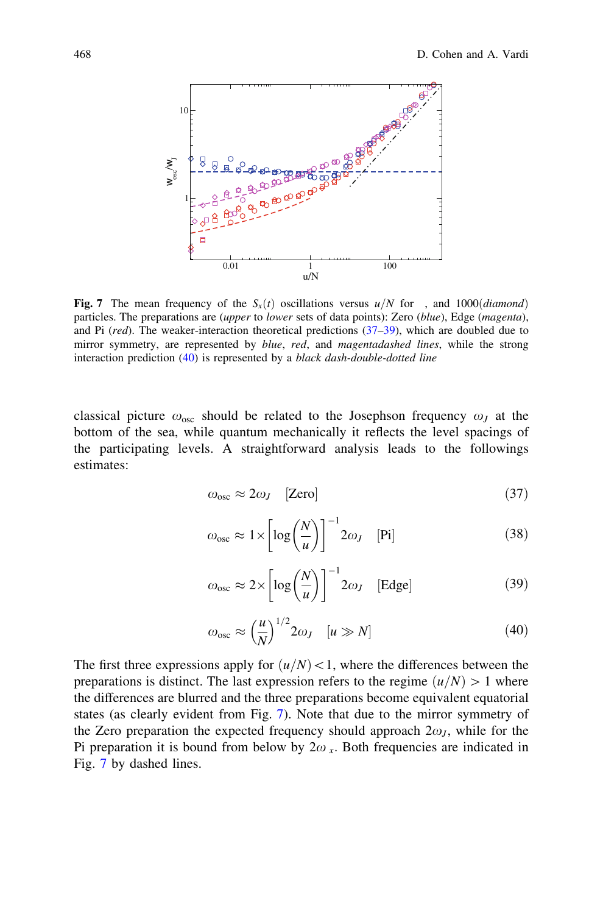<span id="page-11-0"></span>

**Fig. 7** The mean frequency of the  $S_x(t)$  oscillations versus  $u/N$  for , and 1000*(diamond*) particles. The preparations are (upper to lower sets of data points): Zero (blue), Edge (magenta), and Pi  $(\text{red})$ . The weaker-interaction theoretical predictions  $(37-39)$ , which are doubled due to mirror symmetry, are represented by *blue, red,* and *magentadashed lines*, while the strong interaction prediction (40) is represented by a black dash-double-dotted line

classical picture  $\omega_{\text{osc}}$  should be related to the Josephson frequency  $\omega_J$  at the bottom of the sea, while quantum mechanically it reflects the level spacings of the participating levels. A straightforward analysis leads to the followings estimates:

$$
\omega_{\rm osc} \approx 2\omega_J \quad \text{[Zero]} \tag{37}
$$

$$
\omega_{\rm osc} \approx 1 \times \left[ \log \left( \frac{N}{u} \right) \right]^{-1} 2\omega_J \quad [\text{Pi}] \tag{38}
$$

$$
\omega_{\rm osc} \approx 2 \times \left[ \log \left( \frac{N}{u} \right) \right]^{-1} 2\omega_J \quad \text{[Edge]} \tag{39}
$$

$$
\omega_{\rm osc} \approx \left(\frac{u}{N}\right)^{1/2} 2\omega_J \quad [u \gg N] \tag{40}
$$

The first three expressions apply for  $(u/N)$  < 1, where the differences between the preparations is distinct. The last expression refers to the regime  $(u/N) > 1$  where the differences are blurred and the three preparations become equivalent equatorial states (as clearly evident from Fig. 7). Note that due to the mirror symmetry of the Zero preparation the expected frequency should approach  $2\omega_J$ , while for the Pi preparation it is bound from below by  $2\omega_x$ . Both frequencies are indicated in Fig. 7 by dashed lines.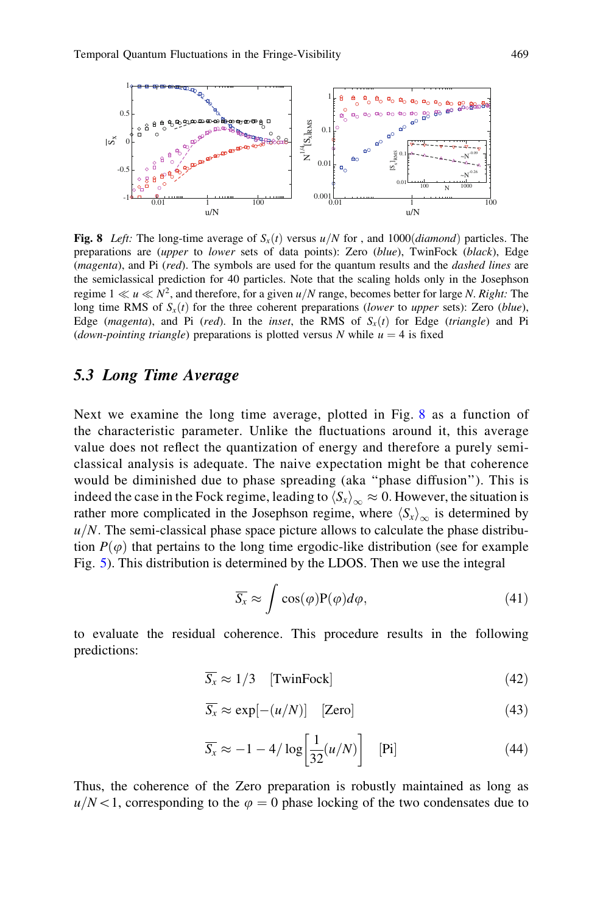<span id="page-12-0"></span>

Fig. 8 Left: The long-time average of  $S<sub>x</sub>(t)$  versus  $u/N$  for , and 1000(*diamond*) particles. The preparations are *(upper to lower sets of data points)*: Zero *(blue)*, TwinFock *(black)*, Edge (*magenta*), and Pi (*red*). The symbols are used for the quantum results and the *dashed lines* are the semiclassical prediction for 40 particles. Note that the scaling holds only in the Josephson regime  $1 \ll u \ll N^2$ , and therefore, for a given  $u/N$  range, becomes better for large N. Right: The long time RMS of  $S_x(t)$  for the three coherent preparations (lower to upper sets): Zero (blue), Edge (magenta), and Pi (red). In the inset, the RMS of  $S<sub>x</sub>(t)$  for Edge (triangle) and Pi (down-pointing triangle) preparations is plotted versus N while  $u = 4$  is fixed

#### 5.3 Long Time Average

Next we examine the long time average, plotted in Fig. 8 as a function of the characteristic parameter. Unlike the fluctuations around it, this average value does not reflect the quantization of energy and therefore a purely semiclassical analysis is adequate. The naive expectation might be that coherence would be diminished due to phase spreading (aka ''phase diffusion''). This is indeed the case in the Fock regime, leading to  $\langle S_x \rangle_{\infty} \approx 0$ . However, the situation is rather more complicated in the Josephson regime, where  $\langle S_x \rangle_{\infty}$  is determined by  $u/N$ . The semi-classical phase space picture allows to calculate the phase distribution  $P(\varphi)$  that pertains to the long time ergodic-like distribution (see for example Fig. [5\)](#page-9-0). This distribution is determined by the LDOS. Then we use the integral

$$
\overline{S_x} \approx \int \cos(\varphi) P(\varphi) d\varphi, \qquad (41)
$$

to evaluate the residual coherence. This procedure results in the following predictions:

$$
\overline{S_x} \approx 1/3 \quad \text{[TwinFock]} \tag{42}
$$

$$
\overline{S_x} \approx \exp[-(u/N)] \quad \text{[Zero]} \tag{43}
$$

$$
\overline{S_x} \approx -1 - 4/\log\left[\frac{1}{32}(u/N)\right]
$$
 [Pi] (44)

Thus, the coherence of the Zero preparation is robustly maintained as long as  $u/N<1$ , corresponding to the  $\varphi = 0$  phase locking of the two condensates due to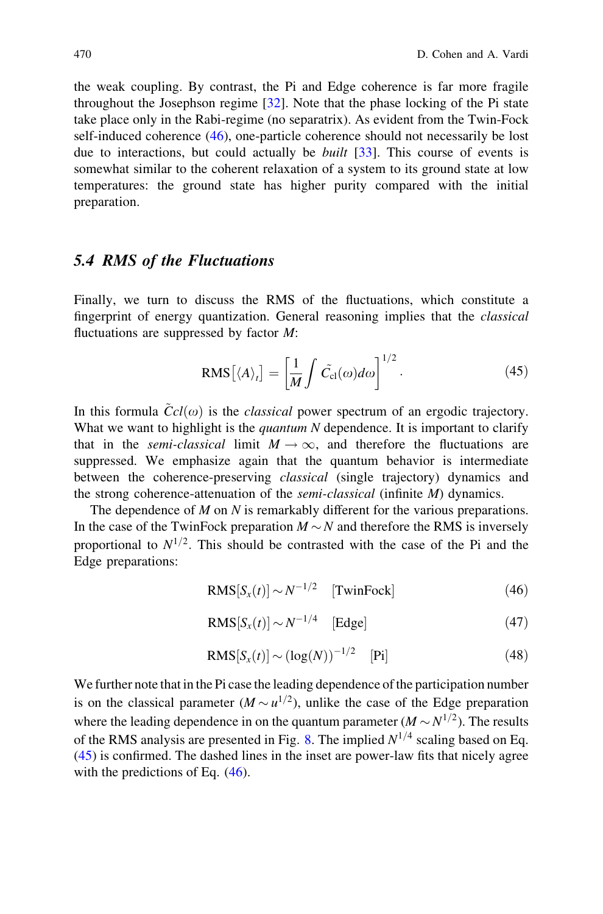the weak coupling. By contrast, the Pi and Edge coherence is far more fragile throughout the Josephson regime [[32\]](#page-15-0). Note that the phase locking of the Pi state take place only in the Rabi-regime (no separatrix). As evident from the Twin-Fock self-induced coherence (46), one-particle coherence should not necessarily be lost due to interactions, but could actually be built [\[33\]](#page-15-0). This course of events is somewhat similar to the coherent relaxation of a system to its ground state at low temperatures: the ground state has higher purity compared with the initial preparation.

# 5.4 RMS of the Fluctuations

Finally, we turn to discuss the RMS of the fluctuations, which constitute a fingerprint of energy quantization. General reasoning implies that the *classical* fluctuations are suppressed by factor  $M$ :

$$
RMS[\langle A \rangle_t] = \left[\frac{1}{M} \int \tilde{C}_{\rm cl}(\omega) d\omega\right]^{1/2}.
$$
 (45)

In this formula  $\ddot{C}cl(\omega)$  is the *classical* power spectrum of an ergodic trajectory. What we want to highlight is the *quantum N* dependence. It is important to clarify that in the *semi-classical* limit  $M \rightarrow \infty$ , and therefore the fluctuations are suppressed. We emphasize again that the quantum behavior is intermediate between the coherence-preserving classical (single trajectory) dynamics and the strong coherence-attenuation of the semi-classical (infinite M) dynamics.

The dependence of  $M$  on  $N$  is remarkably different for the various preparations. In the case of the TwinFock preparation  $M \sim N$  and therefore the RMS is inversely proportional to  $N^{1/2}$ . This should be contrasted with the case of the Pi and the Edge preparations:

$$
RMS[S_x(t)] \sim N^{-1/2} \quad [TwinFock] \tag{46}
$$

$$
RMS[S_x(t)] \sim N^{-1/4} \quad \text{[Edge]} \tag{47}
$$

$$
RMS[S_x(t)] \sim (\log(N))^{-1/2} \quad [Pi] \tag{48}
$$

We further note that in the Pi case the leading dependence of the participation number is on the classical parameter  $(M \sim u^{1/2})$ , unlike the case of the Edge preparation where the leading dependence in on the quantum parameter  $(M \sim N^{1/2})$ . The results of the RMS analysis are presented in Fig. [8.](#page-12-0) The implied  $N^{1/4}$  scaling based on Eq. (45) is confirmed. The dashed lines in the inset are power-law fits that nicely agree with the predictions of Eq.  $(46)$ .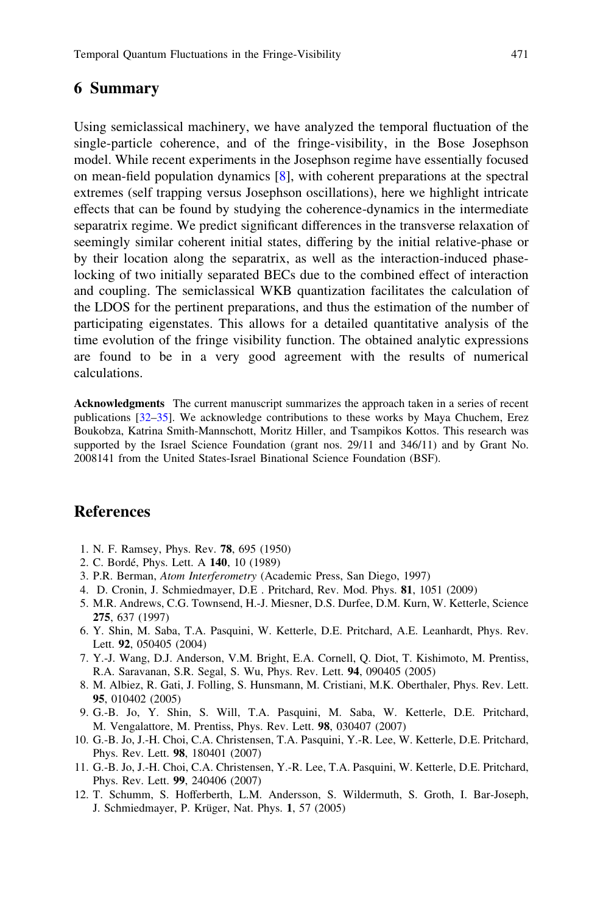## <span id="page-14-0"></span>6 Summary

Using semiclassical machinery, we have analyzed the temporal fluctuation of the single-particle coherence, and of the fringe-visibility, in the Bose Josephson model. While recent experiments in the Josephson regime have essentially focused on mean-field population dynamics [8], with coherent preparations at the spectral extremes (self trapping versus Josephson oscillations), here we highlight intricate effects that can be found by studying the coherence-dynamics in the intermediate separatrix regime. We predict significant differences in the transverse relaxation of seemingly similar coherent initial states, differing by the initial relative-phase or by their location along the separatrix, as well as the interaction-induced phaselocking of two initially separated BECs due to the combined effect of interaction and coupling. The semiclassical WKB quantization facilitates the calculation of the LDOS for the pertinent preparations, and thus the estimation of the number of participating eigenstates. This allows for a detailed quantitative analysis of the time evolution of the fringe visibility function. The obtained analytic expressions are found to be in a very good agreement with the results of numerical calculations.

Acknowledgments The current manuscript summarizes the approach taken in a series of recent publications [[32–35\]](#page-15-0). We acknowledge contributions to these works by Maya Chuchem, Erez Boukobza, Katrina Smith-Mannschott, Moritz Hiller, and Tsampikos Kottos. This research was supported by the Israel Science Foundation (grant nos. 29/11 and 346/11) and by Grant No. 2008141 from the United States-Israel Binational Science Foundation (BSF).

## References

- 1. N. F. Ramsey, Phys. Rev. 78, 695 (1950)
- 2. C. Bordé, Phys. Lett. A 140, 10 (1989)
- 3. P.R. Berman, Atom Interferometry (Academic Press, San Diego, 1997)
- 4. D. Cronin, J. Schmiedmayer, D.E . Pritchard, Rev. Mod. Phys. 81, 1051 (2009)
- 5. M.R. Andrews, C.G. Townsend, H.-J. Miesner, D.S. Durfee, D.M. Kurn, W. Ketterle, Science 275, 637 (1997)
- 6. Y. Shin, M. Saba, T.A. Pasquini, W. Ketterle, D.E. Pritchard, A.E. Leanhardt, Phys. Rev. Lett. 92, 050405 (2004)
- 7. Y.-J. Wang, D.J. Anderson, V.M. Bright, E.A. Cornell, Q. Diot, T. Kishimoto, M. Prentiss, R.A. Saravanan, S.R. Segal, S. Wu, Phys. Rev. Lett. 94, 090405 (2005)
- 8. M. Albiez, R. Gati, J. Folling, S. Hunsmann, M. Cristiani, M.K. Oberthaler, Phys. Rev. Lett. 95, 010402 (2005)
- 9. G.-B. Jo, Y. Shin, S. Will, T.A. Pasquini, M. Saba, W. Ketterle, D.E. Pritchard, M. Vengalattore, M. Prentiss, Phys. Rev. Lett. 98, 030407 (2007)
- 10. G.-B. Jo, J.-H. Choi, C.A. Christensen, T.A. Pasquini, Y.-R. Lee, W. Ketterle, D.E. Pritchard, Phys. Rev. Lett. 98, 180401 (2007)
- 11. G.-B. Jo, J.-H. Choi, C.A. Christensen, Y.-R. Lee, T.A. Pasquini, W. Ketterle, D.E. Pritchard, Phys. Rev. Lett. 99, 240406 (2007)
- 12. T. Schumm, S. Hofferberth, L.M. Andersson, S. Wildermuth, S. Groth, I. Bar-Joseph, J. Schmiedmayer, P. Krüger, Nat. Phys. 1, 57 (2005)